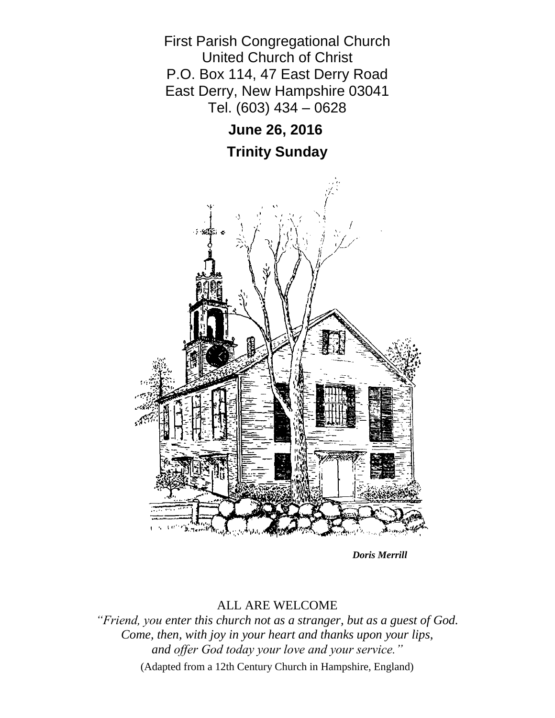

*Doris Merrill*

# ALL ARE WELCOME

*"Friend, you enter this church not as a stranger, but as a guest of God. Come, then, with joy in your heart and thanks upon your lips, and offer God today your love and your service."* (Adapted from a 12th Century Church in Hampshire, England)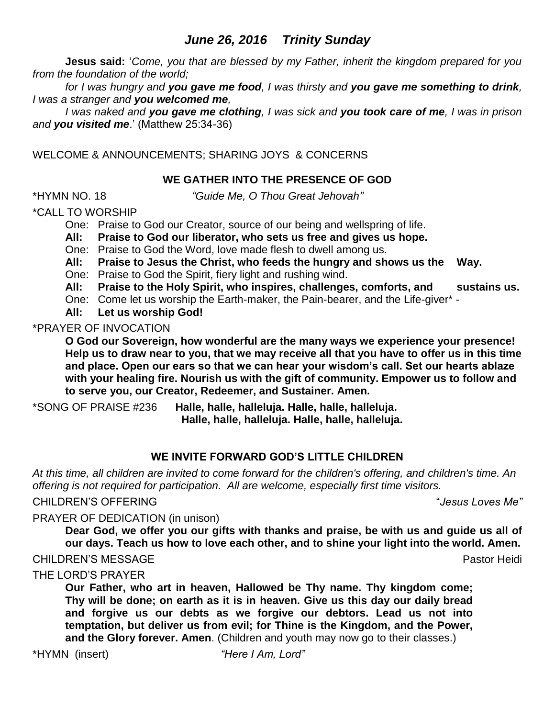# *June 26, 2016 Trinity Sunday*

**Jesus said:** '*Come, you that are blessed by my Father, inherit the kingdom prepared for you from the foundation of the world;* 

*for I was hungry and you gave me food, I was thirsty and you gave me something to drink, I was a stranger and you welcomed me,* 

*I was naked and you gave me clothing, I was sick and you took care of me, I was in prison and you visited me*.' (Matthew 25:34-36)

WELCOME & ANNOUNCEMENTS; SHARING JOYS & CONCERNS

# **WE GATHER INTO THE PRESENCE OF GOD**

\*HYMN NO. 18 *"Guide Me, O Thou Great Jehovah"*

\*CALL TO WORSHIP

One: Praise to God our Creator, source of our being and wellspring of life.

**All: Praise to God our liberator, who sets us free and gives us hope.**

One: Praise to God the Word, love made flesh to dwell among us.

**All: Praise to Jesus the Christ, who feeds the hungry and shows us the Way.**

One: Praise to God the Spirit, fiery light and rushing wind.

**All: Praise to the Holy Spirit, who inspires, challenges, comforts, and sustains us.**

One: Come let us worship the Earth-maker, the Pain-bearer, and the Life-giver\* -

**All: Let us worship God!**

\*PRAYER OF INVOCATION

**O God our Sovereign, how wonderful are the many ways we experience your presence! Help us to draw near to you, that we may receive all that you have to offer us in this time and place. Open our ears so that we can hear your wisdom's call. Set our hearts ablaze with your healing fire. Nourish us with the gift of community. Empower us to follow and to serve you, our Creator, Redeemer, and Sustainer. Amen.**

\*SONG OF PRAISE #236 **Halle, halle, halleluja. Halle, halle, halleluja. Halle, halle, halleluja. Halle, halle, halleluja.**

# **WE INVITE FORWARD GOD'S LITTLE CHILDREN**

*At this time, all children are invited to come forward for the children's offering, and children's time. An offering is not required for participation. All are welcome, especially first time visitors.*

### CHILDREN'S OFFERING "*Jesus Loves Me"*

PRAYER OF DEDICATION (in unison)

**Dear God, we offer you our gifts with thanks and praise, be with us and guide us all of our days. Teach us how to love each other, and to shine your light into the world. Amen.**

**CHILDREN'S MESSAGE Pastor Heidi** 

THE LORD'S PRAYER

**Our Father, who art in heaven, Hallowed be Thy name. Thy kingdom come; Thy will be done; on earth as it is in heaven. Give us this day our daily bread and forgive us our debts as we forgive our debtors. Lead us not into temptation, but deliver us from evil; for Thine is the Kingdom, and the Power, and the Glory forever. Amen**. (Children and youth may now go to their classes.)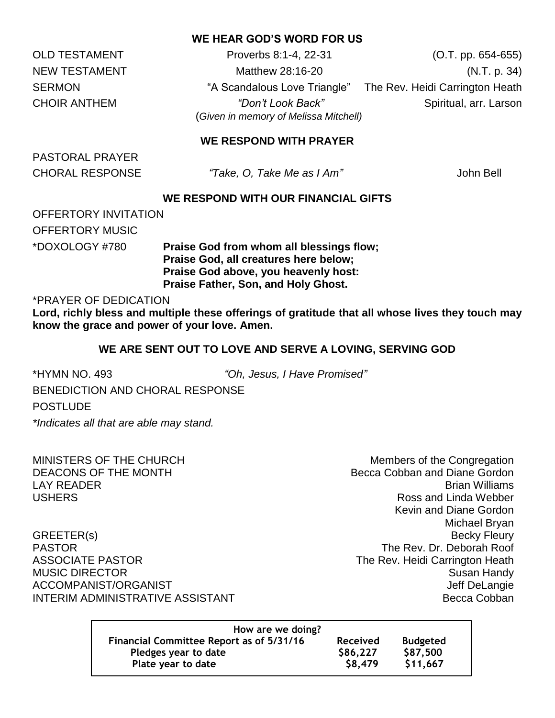### **WE HEAR GOD'S WORD FOR US**

OLD TESTAMENT Proverbs 8:1-4, 22-31 (O.T. pp. 654-655) NEW TESTAMENT Matthew 28:16-20 (N.T. p. 34) SERMON **EXAGLE 10. SERMON** "A Scandalous Love Triangle" The Rev. Heidi Carrington Heath CHOIR ANTHEM *"Don't Look Back"* Spiritual, arr. Larson (*Given in memory of Melissa Mitchell)*

## **WE RESPOND WITH PRAYER**

PASTORAL PRAYER

CHORAL RESPONSE *"Take, O, Take Me as I Am"* John Bell

### **WE RESPOND WITH OUR FINANCIAL GIFTS**

OFFERTORY INVITATION OFFERTORY MUSIC

\*DOXOLOGY #780 **Praise God from whom all blessings flow; Praise God, all creatures here below; Praise God above, you heavenly host: Praise Father, Son, and Holy Ghost.**

\*PRAYER OF DEDICATION

**Lord, richly bless and multiple these offerings of gratitude that all whose lives they touch may know the grace and power of your love. Amen.**

#### **WE ARE SENT OUT TO LOVE AND SERVE A LOVING, SERVING GOD**

\*HYMN NO. 493 *"Oh, Jesus, I Have Promised"*

BENEDICTION AND CHORAL RESPONSE

POSTLUDE

*\*Indicates all that are able may stand.*

MINISTERS OF THE CHURCH MINISTERS OF THE CHURCH

DEACONS OF THE MONTH **BECCA Cobban and Diane Gordon** LAY READER Brian Williams USHERS Ross and Linda Webber Kevin and Diane Gordon Michael Bryan GREETER(s) Becky Fleury PASTOR The Rev. Dr. Deborah Roof ASSOCIATE PASTOR **The Rev. Heidi Carrington Heath** MUSIC DIRECTOR Susan Handy ACCOMPANIST/ORGANIST  $\qquad \qquad \qquad$ INTERIM ADMINISTRATIVE ASSISTANT AND REALLY COMPANY RECORD Becca Cobban

| How are we doing?                               |                 |                 |
|-------------------------------------------------|-----------------|-----------------|
| <b>Financial Committee Report as of 5/31/16</b> | <b>Received</b> | <b>Budgeted</b> |
| Pledges year to date                            | \$86,227        | \$87,500        |
| Plate year to date                              | \$8,479         | \$11,667        |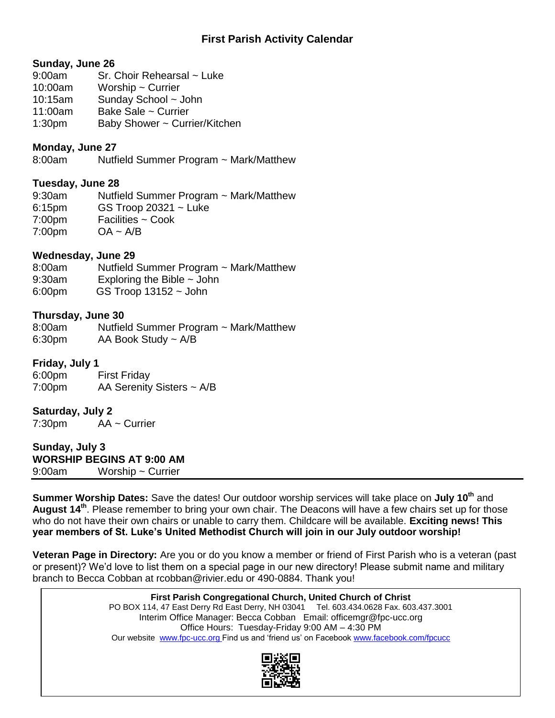# **First Parish Activity Calendar**

#### **Sunday, June 26**

- 9:00am Sr. Choir Rehearsal ~ Luke
- 10:00am Worship ~ Currier
- 10:15am Sunday School ~ John
- 11:00am Bake Sale ~ Currier
- 1:30pm Baby Shower ~ Currier/Kitchen

## **Monday, June 27**

8:00am Nutfield Summer Program ~ Mark/Matthew

#### **Tuesday, June 28**

9:30am Nutfield Summer Program ~ Mark/Matthew 6:15pm GS Troop 20321 ~ Luke 7:00pm Facilities ~ Cook  $7:00 \text{pm}$   $\qquad \text{OA} \sim \text{A/B}$ 

#### **Wednesday, June 29**

8:00am Nutfield Summer Program ~ Mark/Matthew 9:30am Exploring the Bible ~ John

6:00pm GS Troop 13152 ~ John

#### **Thursday, June 30**

8:00am Nutfield Summer Program ~ Mark/Matthew 6:30pm AA Book Study ~ A/B

#### **Friday, July 1**

6:00pm First Friday 7:00pm AA Serenity Sisters ~ A/B

#### **Saturday, July 2**

7:30pm AA ~ Currier

**Sunday, July 3 WORSHIP BEGINS AT 9:00 AM** 9:00am Worship ~ Currier

**Summer Worship Dates:** Save the dates! Our outdoor worship services will take place on **July 10th** and **August 14th** . Please remember to bring your own chair. The Deacons will have a few chairs set up for those who do not have their own chairs or unable to carry them. Childcare will be available. **Exciting news! This year members of St. Luke's United Methodist Church will join in our July outdoor worship!**

**Veteran Page in Directory:** Are you or do you know a member or friend of First Parish who is a veteran (past or present)? We'd love to list them on a special page in our new directory! Please submit name and military branch to Becca Cobban at rcobban@rivier.edu or 490-0884. Thank you!

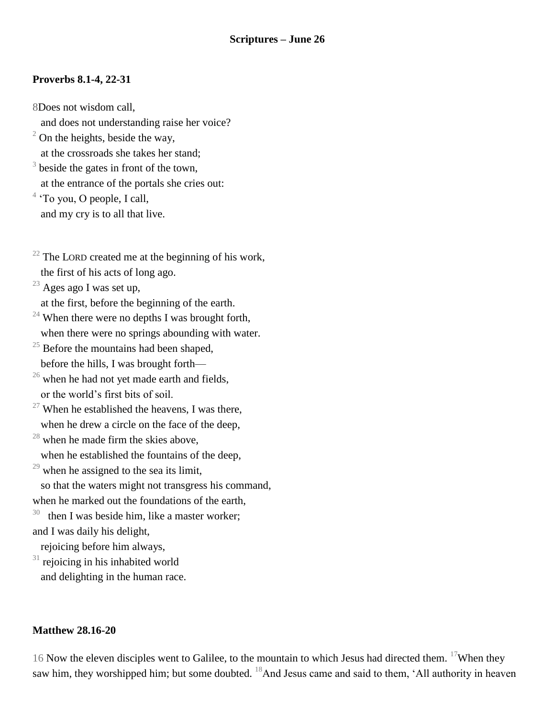# **Proverbs 8.1-4, 22-31**

- 8Does not wisdom call,
- and does not understanding raise her voice?
- $2$  On the heights, beside the way, at the crossroads she takes her stand;
- $3$  beside the gates in front of the town, at the entrance of the portals she cries out:
- <sup>4</sup> 'To you, O people, I call, and my cry is to all that live.
- $22$  The LORD created me at the beginning of his work, the first of his acts of long ago.
- $^{23}$  Ages ago I was set up,
- at the first, before the beginning of the earth.
- <sup>24</sup> When there were no depths I was brought forth, when there were no springs abounding with water.
- $25$  Before the mountains had been shaped, before the hills, I was brought forth—
- $26$  when he had not yet made earth and fields, or the world's first bits of soil.
- <sup>27</sup> When he established the heavens, I was there, when he drew a circle on the face of the deep,
- $28$  when he made firm the skies above.
	- when he established the fountains of the deep,
- $29$  when he assigned to the sea its limit,
- so that the waters might not transgress his command, when he marked out the foundations of the earth,
- 30 then I was beside him, like a master worker; and I was daily his delight,
- rejoicing before him always,
- $31$  rejoicing in his inhabited world and delighting in the human race.

### **Matthew 28.16-20**

16 Now the eleven disciples went to Galilee, to the mountain to which Jesus had directed them. <sup>17</sup>When they saw him, they worshipped him; but some doubted. <sup>18</sup>And Jesus came and said to them, 'All authority in heaven